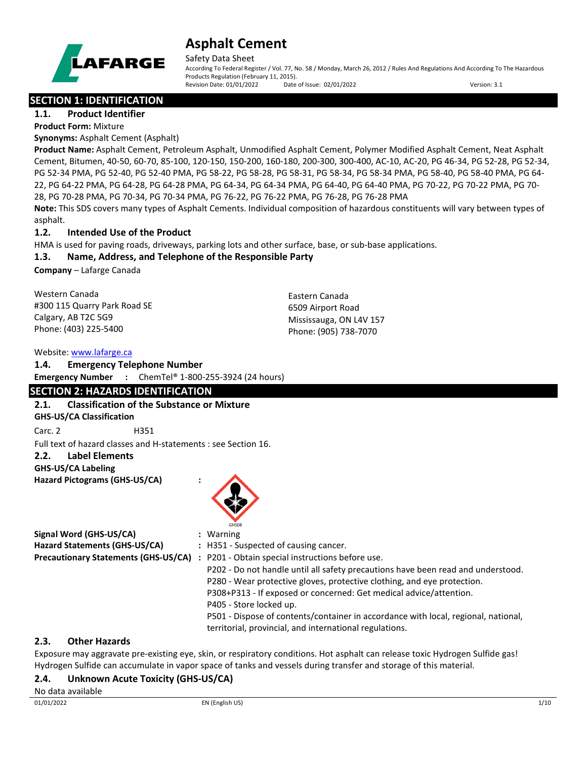

Safety Data Sheet

According To Federal Register / Vol. 77, No. 58 / Monday, March 26, 2012 / Rules And Regulations And According To The Hazardous Products Regulation (February 11, 2015). Revision Date: 01/01/2022 Date of Issue: 02/01/2022 Version: 3.1

## **SECTION 1: IDENTIFICATION**

**1.1. Product Identifier**

**Product Form:** Mixture

**Synonyms:** Asphalt Cement (Asphalt)

**Product Name:** Asphalt Cement, Petroleum Asphalt, Unmodified Asphalt Cement, Polymer Modified Asphalt Cement, Neat Asphalt Cement, Bitumen, 40-50, 60-70, 85-100, 120-150, 150-200, 160-180, 200-300, 300-400, AC-10, AC-20, PG 46-34, PG 52-28, PG 52-34, PG 52-34 PMA, PG 52-40, PG 52-40 PMA, PG 58-22, PG 58-28, PG 58-31, PG 58-34, PG 58-34 PMA, PG 58-40, PG 58-40 PMA, PG 64- 22, PG 64-22 PMA, PG 64-28, PG 64-28 PMA, PG 64-34, PG 64-34 PMA, PG 64-40, PG 64-40 PMA, PG 70-22, PG 70-22 PMA, PG 70- 28, PG 70-28 PMA, PG 70-34, PG 70-34 PMA, PG 76-22, PG 76-22 PMA, PG 76-28, PG 76-28 PMA

**Note:** This SDS covers many types of Asphalt Cements. Individual composition of hazardous constituents will vary between types of asphalt.

## **1.2. Intended Use of the Product**

HMA is used for paving roads, driveways, parking lots and other surface, base, or sub-base applications.

## **1.3. Name, Address, and Telephone of the Responsible Party**

**Company** – Lafarge Canada

Western Canada #300 115 Quarry Park Road SE Calgary, AB T2C 5G9 Phone: (403) 225-5400

Eastern Canada 6509 Airport Road Mississauga, ON L4V 157 Phone: (905) 738-7070

### Website: [www.lafarge.ca](file://leon/customers/CUSTOMERS/Lafarge_North_America_Inc/Projects/Authoring_20180316/Batch_Folder/B_Draft_SDS/MS_Word_Files/www.lafarge.ca)

#### **1.4. Emergency Telephone Number**

**Emergency Number :** ChemTel® 1-800-255-3924 (24 hours)

## **SECTION 2: HAZARDS IDENTIFICATION**

## **2.1. Classification of the Substance or Mixture**

**GHS-US/CA Classification**

Carc. 2 H351

Full text of hazard classes and H-statements : see Section 16.

## **2.2. Label Elements**

**GHS-US/CA Labeling**

**Hazard Pictograms (GHS-US/CA) :**



|                                      | : Warning                                                                        |
|--------------------------------------|----------------------------------------------------------------------------------|
|                                      | : H351 - Suspected of causing cancer.                                            |
| Precautionary Statements (GHS-US/CA) | : P201 - Obtain special instructions before use.                                 |
|                                      | P202 - Do not handle until all safety precautions have been read and understood. |
|                                      | P280 - Wear protective gloves, protective clothing, and eye protection.          |
|                                      | P308+P313 - If exposed or concerned: Get medical advice/attention.               |
|                                      | P405 - Store locked up.                                                          |
|                                      |                                                                                  |

P501 - Dispose of contents/container in accordance with local, regional, national, territorial, provincial, and international regulations.

## **2.3. Other Hazards**

Exposure may aggravate pre-existing eye, skin, or respiratory conditions. Hot asphalt can release toxic Hydrogen Sulfide gas! Hydrogen Sulfide can accumulate in vapor space of tanks and vessels during transfer and storage of this material.

## **2.4. Unknown Acute Toxicity (GHS-US/CA)**

## No data available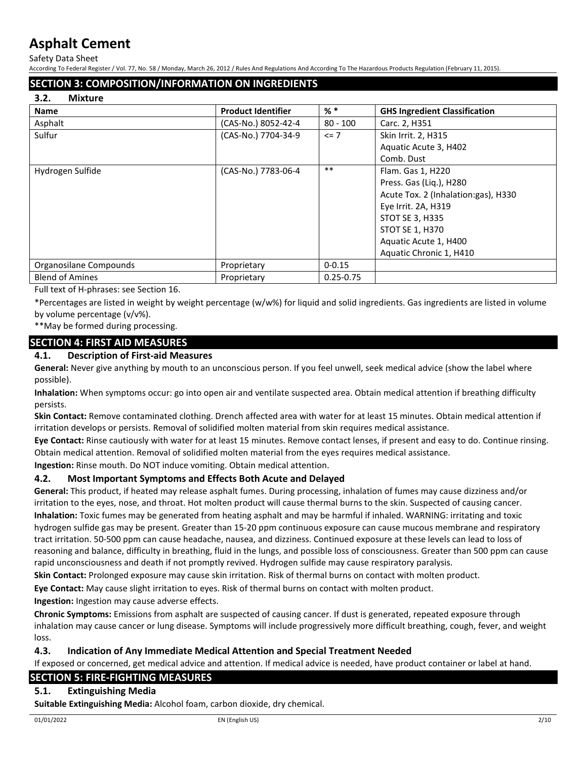Safety Data Sheet

According To Federal Register / Vol. 77, No. 58 / Monday, March 26, 2012 / Rules And Regulations And According To The Hazardous Products Regulation (February 11, 2015).

## **SECTION 3: COMPOSITION/INFORMATION ON INGREDIENTS**

#### **3.2. Mixture**

| <b>Name</b>            | <b>Product Identifier</b> | $%$ $*$       | <b>GHS Ingredient Classification</b> |
|------------------------|---------------------------|---------------|--------------------------------------|
| Asphalt                | (CAS-No.) 8052-42-4       | $80 - 100$    | Carc. 2, H351                        |
| Sulfur                 | (CAS-No.) 7704-34-9       | $\leq$ 7      | Skin Irrit. 2, H315                  |
|                        |                           |               | Aquatic Acute 3, H402                |
|                        |                           |               | Comb. Dust                           |
| Hydrogen Sulfide       | (CAS-No.) 7783-06-4       | $***$         | Flam. Gas 1, H220                    |
|                        |                           |               | Press. Gas (Lig.), H280              |
|                        |                           |               | Acute Tox. 2 (Inhalation:gas), H330  |
|                        |                           |               | Eye Irrit. 2A, H319                  |
|                        |                           |               | STOT SE 3, H335                      |
|                        |                           |               | STOT SE 1, H370                      |
|                        |                           |               | Aquatic Acute 1, H400                |
|                        |                           |               | Aquatic Chronic 1, H410              |
| Organosilane Compounds | Proprietary               | $0 - 0.15$    |                                      |
| <b>Blend of Amines</b> | Proprietary               | $0.25 - 0.75$ |                                      |

Full text of H-phrases: see Section 16.

\*Percentages are listed in weight by weight percentage (w/w%) for liquid and solid ingredients. Gas ingredients are listed in volume by volume percentage (v/v%).

\*\*May be formed during processing.

## **SECTION 4: FIRST AID MEASURES**

#### **4.1. Description of First-aid Measures**

**General:** Never give anything by mouth to an unconscious person. If you feel unwell, seek medical advice (show the label where possible).

**Inhalation:** When symptoms occur: go into open air and ventilate suspected area. Obtain medical attention if breathing difficulty persists.

**Skin Contact:** Remove contaminated clothing. Drench affected area with water for at least 15 minutes. Obtain medical attention if irritation develops or persists. Removal of solidified molten material from skin requires medical assistance.

**Eye Contact:** Rinse cautiously with water for at least 15 minutes. Remove contact lenses, if present and easy to do. Continue rinsing. Obtain medical attention. Removal of solidified molten material from the eyes requires medical assistance.

**Ingestion:** Rinse mouth. Do NOT induce vomiting. Obtain medical attention.

## **4.2. Most Important Symptoms and Effects Both Acute and Delayed**

**General:** This product, if heated may release asphalt fumes. During processing, inhalation of fumes may cause dizziness and/or irritation to the eyes, nose, and throat. Hot molten product will cause thermal burns to the skin. Suspected of causing cancer. **Inhalation:** Toxic fumes may be generated from heating asphalt and may be harmful if inhaled. WARNING: irritating and toxic hydrogen sulfide gas may be present. Greater than 15-20 ppm continuous exposure can cause mucous membrane and respiratory tract irritation. 50-500 ppm can cause headache, nausea, and dizziness. Continued exposure at these levels can lead to loss of reasoning and balance, difficulty in breathing, fluid in the lungs, and possible loss of consciousness. Greater than 500 ppm can cause rapid unconsciousness and death if not promptly revived. Hydrogen sulfide may cause respiratory paralysis.

**Skin Contact:** Prolonged exposure may cause skin irritation. Risk of thermal burns on contact with molten product.

**Eye Contact:** May cause slight irritation to eyes. Risk of thermal burns on contact with molten product.

**Ingestion:** Ingestion may cause adverse effects.

**Chronic Symptoms:** Emissions from asphalt are suspected of causing cancer. If dust is generated, repeated exposure through inhalation may cause cancer or lung disease. Symptoms will include progressively more difficult breathing, cough, fever, and weight loss.

## **4.3. Indication of Any Immediate Medical Attention and Special Treatment Needed**

If exposed or concerned, get medical advice and attention. If medical advice is needed, have product container or label at hand.

## **SECTION 5: FIRE-FIGHTING MEASURES**

## **5.1. Extinguishing Media**

**Suitable Extinguishing Media:** Alcohol foam, carbon dioxide, dry chemical.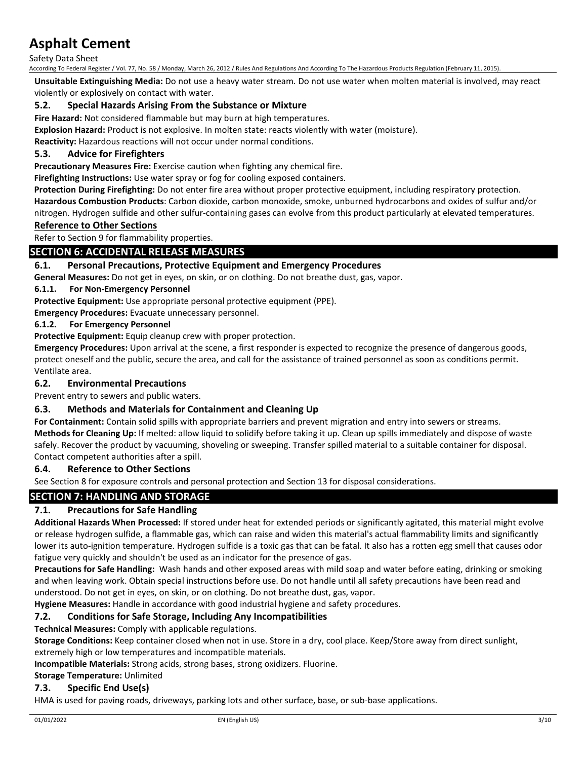Safety Data Sheet

According To Federal Register / Vol. 77, No. 58 / Monday, March 26, 2012 / Rules And Regulations And According To The Hazardous Products Regulation (February 11, 2015).

**Unsuitable Extinguishing Media:** Do not use a heavy water stream. Do not use water when molten material is involved, may react violently or explosively on contact with water.

### **5.2. Special Hazards Arising From the Substance or Mixture**

**Fire Hazard:** Not considered flammable but may burn at high temperatures.

**Explosion Hazard:** Product is not explosive. In molten state: reacts violently with water (moisture).

**Reactivity:** Hazardous reactions will not occur under normal conditions.

## **5.3. Advice for Firefighters**

**Precautionary Measures Fire:** Exercise caution when fighting any chemical fire.

**Firefighting Instructions:** Use water spray or fog for cooling exposed containers.

**Protection During Firefighting:** Do not enter fire area without proper protective equipment, including respiratory protection. **Hazardous Combustion Products**: Carbon dioxide, carbon monoxide, smoke, unburned hydrocarbons and oxides of sulfur and/or nitrogen. Hydrogen sulfide and other sulfur-containing gases can evolve from this product particularly at elevated temperatures.

#### **Reference to Other Sections**

Refer to Section 9 for flammability properties.

#### **SECTION 6: ACCIDENTAL RELEASE MEASURES**

#### **6.1. Personal Precautions, Protective Equipment and Emergency Procedures**

**General Measures:** Do not get in eyes, on skin, or on clothing. Do not breathe dust, gas, vapor.

#### **6.1.1. For Non-Emergency Personnel**

**Protective Equipment:** Use appropriate personal protective equipment (PPE).

**Emergency Procedures:** Evacuate unnecessary personnel.

#### **6.1.2. For Emergency Personnel**

**Protective Equipment:** Equip cleanup crew with proper protection.

**Emergency Procedures:** Upon arrival at the scene, a first responder is expected to recognize the presence of dangerous goods, protect oneself and the public, secure the area, and call for the assistance of trained personnel as soon as conditions permit. Ventilate area.

#### **6.2. Environmental Precautions**

Prevent entry to sewers and public waters.

#### **6.3. Methods and Materials for Containment and Cleaning Up**

**For Containment:** Contain solid spills with appropriate barriers and prevent migration and entry into sewers or streams. **Methods for Cleaning Up:** If melted: allow liquid to solidify before taking it up. Clean up spills immediately and dispose of waste safely. Recover the product by vacuuming, shoveling or sweeping. Transfer spilled material to a suitable container for disposal. Contact competent authorities after a spill.

#### **6.4. Reference to Other Sections**

See Section 8 for exposure controls and personal protection and Section 13 for disposal considerations.

## **SECTION 7: HANDLING AND STORAGE**

#### **7.1. Precautions for Safe Handling**

**Additional Hazards When Processed:** If stored under heat for extended periods or significantly agitated, this material might evolve or release hydrogen sulfide, a flammable gas, which can raise and widen this material's actual flammability limits and significantly lower its auto-ignition temperature. Hydrogen sulfide is a toxic gas that can be fatal. It also has a rotten egg smell that causes odor fatigue very quickly and shouldn't be used as an indicator for the presence of gas.

**Precautions for Safe Handling:** Wash hands and other exposed areas with mild soap and water before eating, drinking or smoking and when leaving work. Obtain special instructions before use. Do not handle until all safety precautions have been read and understood. Do not get in eyes, on skin, or on clothing. Do not breathe dust, gas, vapor.

**Hygiene Measures:** Handle in accordance with good industrial hygiene and safety procedures.

#### **7.2. Conditions for Safe Storage, Including Any Incompatibilities**

#### **Technical Measures:** Comply with applicable regulations.

**Storage Conditions:** Keep container closed when not in use. Store in a dry, cool place. Keep/Store away from direct sunlight, extremely high or low temperatures and incompatible materials.

**Incompatible Materials:** Strong acids, strong bases, strong oxidizers. Fluorine.

#### **Storage Temperature:** Unlimited

## **7.3. Specific End Use(s)**

HMA is used for paving roads, driveways, parking lots and other surface, base, or sub-base applications.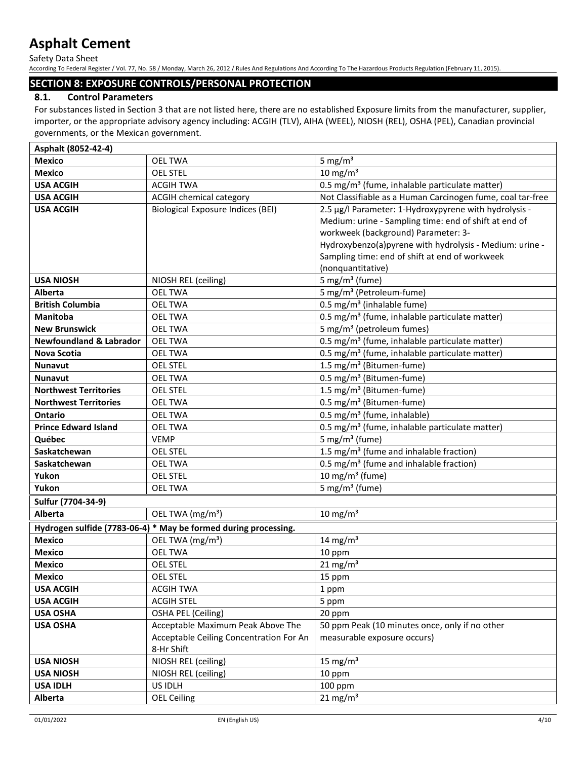Safety Data Sheet

According To Federal Register / Vol. 77, No. 58 / Monday, March 26, 2012 / Rules And Regulations And According To The Hazardous Products Regulation (February 11, 2015).

## **SECTION 8: EXPOSURE CONTROLS/PERSONAL PROTECTION**

## **8.1. Control Parameters**

For substances listed in Section 3 that are not listed here, there are no established Exposure limits from the manufacturer, supplier, importer, or the appropriate advisory agency including: ACGIH (TLV), AIHA (WEEL), NIOSH (REL), OSHA (PEL), Canadian provincial governments, or the Mexican government.

| Asphalt (8052-42-4)                |                                                                 |                                                            |  |
|------------------------------------|-----------------------------------------------------------------|------------------------------------------------------------|--|
| <b>Mexico</b>                      | <b>OEL TWA</b>                                                  | 5 mg/ $m3$                                                 |  |
| <b>Mexico</b>                      | <b>OEL STEL</b>                                                 | $10 \text{ mg/m}^3$                                        |  |
| <b>USA ACGIH</b>                   | <b>ACGIH TWA</b>                                                | 0.5 mg/m <sup>3</sup> (fume, inhalable particulate matter) |  |
| <b>USA ACGIH</b>                   | ACGIH chemical category                                         | Not Classifiable as a Human Carcinogen fume, coal tar-free |  |
| <b>USA ACGIH</b>                   | <b>Biological Exposure Indices (BEI)</b>                        | 2.5 µg/l Parameter: 1-Hydroxypyrene with hydrolysis -      |  |
|                                    |                                                                 | Medium: urine - Sampling time: end of shift at end of      |  |
|                                    |                                                                 | workweek (background) Parameter: 3-                        |  |
|                                    |                                                                 | Hydroxybenzo(a)pyrene with hydrolysis - Medium: urine -    |  |
|                                    |                                                                 | Sampling time: end of shift at end of workweek             |  |
|                                    |                                                                 | (nonquantitative)                                          |  |
| <b>USA NIOSH</b>                   | NIOSH REL (ceiling)                                             | 5 mg/m <sup>3</sup> (fume)                                 |  |
| Alberta                            | <b>OEL TWA</b>                                                  | 5 mg/m <sup>3</sup> (Petroleum-fume)                       |  |
| <b>British Columbia</b>            | <b>OEL TWA</b>                                                  | 0.5 mg/m <sup>3</sup> (inhalable fume)                     |  |
| Manitoba                           | <b>OEL TWA</b>                                                  | 0.5 mg/m <sup>3</sup> (fume, inhalable particulate matter) |  |
| <b>New Brunswick</b>               | <b>OEL TWA</b>                                                  | 5 mg/m <sup>3</sup> (petroleum fumes)                      |  |
| <b>Newfoundland &amp; Labrador</b> | <b>OEL TWA</b>                                                  | 0.5 mg/m <sup>3</sup> (fume, inhalable particulate matter) |  |
| <b>Nova Scotia</b>                 | <b>OEL TWA</b>                                                  | 0.5 mg/m <sup>3</sup> (fume, inhalable particulate matter) |  |
| <b>Nunavut</b>                     | <b>OEL STEL</b>                                                 | 1.5 mg/m <sup>3</sup> (Bitumen-fume)                       |  |
| <b>Nunavut</b>                     | <b>OEL TWA</b>                                                  | 0.5 mg/m <sup>3</sup> (Bitumen-fume)                       |  |
| <b>Northwest Territories</b>       | <b>OEL STEL</b>                                                 | 1.5 mg/m <sup>3</sup> (Bitumen-fume)                       |  |
| <b>Northwest Territories</b>       | <b>OEL TWA</b>                                                  | 0.5 mg/m <sup>3</sup> (Bitumen-fume)                       |  |
| <b>Ontario</b>                     | <b>OEL TWA</b>                                                  | 0.5 mg/m <sup>3</sup> (fume, inhalable)                    |  |
| <b>Prince Edward Island</b>        | <b>OEL TWA</b>                                                  | 0.5 mg/m <sup>3</sup> (fume, inhalable particulate matter) |  |
| Québec                             | <b>VEMP</b>                                                     | 5 mg/m <sup>3</sup> (fume)                                 |  |
| Saskatchewan                       | <b>OEL STEL</b>                                                 | 1.5 mg/m <sup>3</sup> (fume and inhalable fraction)        |  |
| Saskatchewan                       | <b>OEL TWA</b>                                                  | 0.5 mg/m <sup>3</sup> (fume and inhalable fraction)        |  |
| Yukon                              | <b>OEL STEL</b>                                                 | 10 mg/m $3$ (fume)                                         |  |
| Yukon                              | <b>OEL TWA</b>                                                  | 5 mg/m <sup>3</sup> (fume)                                 |  |
| Sulfur (7704-34-9)                 |                                                                 |                                                            |  |
| Alberta                            | OEL TWA (mg/m <sup>3</sup> )                                    | $10 \text{ mg/m}^3$                                        |  |
|                                    | Hydrogen sulfide (7783-06-4) * May be formed during processing. |                                                            |  |
| <b>Mexico</b>                      | OEL TWA (mg/m <sup>3</sup> )                                    | 14 mg/ $m3$                                                |  |
| <b>Mexico</b>                      | <b>OEL TWA</b>                                                  | 10 ppm                                                     |  |
| <b>Mexico</b>                      | <b>OEL STEL</b>                                                 | $21 \text{ mg/m}^3$                                        |  |
| <b>Mexico</b>                      | <b>OEL STEL</b>                                                 | 15 ppm                                                     |  |
| <b>USA ACGIH</b>                   | <b>ACGIH TWA</b>                                                | 1 ppm                                                      |  |
| <b>USA ACGIH</b>                   | <b>ACGIH STEL</b>                                               | 5 ppm                                                      |  |
| <b>USA OSHA</b>                    | OSHA PEL (Ceiling)                                              | 20 ppm                                                     |  |
| <b>USA OSHA</b>                    | Acceptable Maximum Peak Above The                               | 50 ppm Peak (10 minutes once, only if no other             |  |
|                                    | Acceptable Ceiling Concentration For An                         | measurable exposure occurs)                                |  |
|                                    | 8-Hr Shift                                                      |                                                            |  |
| <b>USA NIOSH</b>                   | NIOSH REL (ceiling)                                             | 15 mg/m $3$                                                |  |
| <b>USA NIOSH</b>                   | NIOSH REL (ceiling)                                             | 10 ppm                                                     |  |
| <b>USA IDLH</b>                    | US IDLH                                                         | 100 ppm                                                    |  |
| Alberta                            | <b>OEL Ceiling</b>                                              | $21 \text{ mg/m}^3$                                        |  |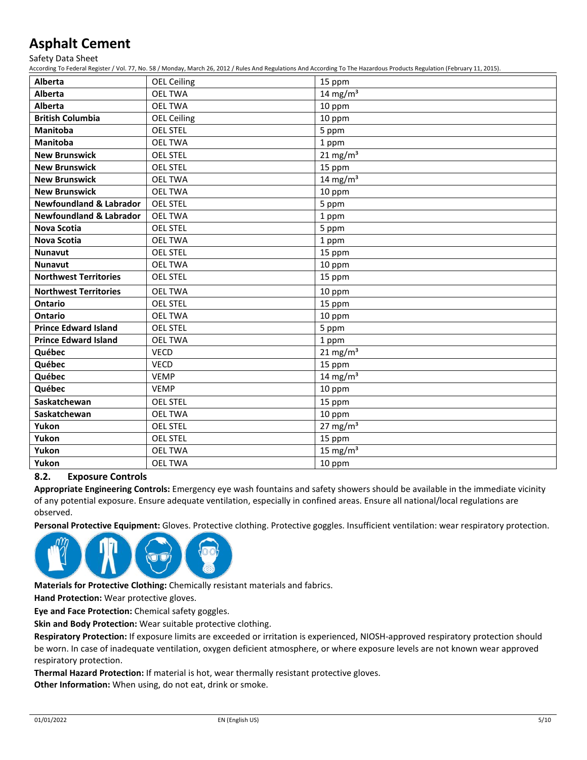Safety Data Sheet

According To Federal Register / Vol. 77, No. 58 / Monday, March 26, 2012 / Rules And Regulations And According To The Hazardous Products Regulation (February 11, 2015).

| <b>Alberta</b>                     | <b>OEL Ceiling</b> | 15 ppm              |
|------------------------------------|--------------------|---------------------|
| Alberta                            | <b>OEL TWA</b>     | 14 mg/m $3$         |
| Alberta                            | <b>OEL TWA</b>     | 10 ppm              |
| <b>British Columbia</b>            | <b>OEL Ceiling</b> | 10 ppm              |
| <b>Manitoba</b>                    | <b>OEL STEL</b>    | 5 ppm               |
| <b>Manitoba</b>                    | <b>OEL TWA</b>     | 1 ppm               |
| <b>New Brunswick</b>               | <b>OEL STEL</b>    | $21 \text{ mg/m}^3$ |
| <b>New Brunswick</b>               | <b>OEL STEL</b>    | 15 ppm              |
| <b>New Brunswick</b>               | <b>OEL TWA</b>     | 14 mg/m $3$         |
| <b>New Brunswick</b>               | <b>OEL TWA</b>     | 10 ppm              |
| <b>Newfoundland &amp; Labrador</b> | <b>OEL STEL</b>    | 5 ppm               |
| <b>Newfoundland &amp; Labrador</b> | <b>OEL TWA</b>     | 1 ppm               |
| <b>Nova Scotia</b>                 | <b>OEL STEL</b>    | 5 ppm               |
| <b>Nova Scotia</b>                 | <b>OEL TWA</b>     | 1 ppm               |
| <b>Nunavut</b>                     | <b>OEL STEL</b>    | 15 ppm              |
| <b>Nunavut</b>                     | <b>OEL TWA</b>     | 10 ppm              |
| <b>Northwest Territories</b>       | <b>OEL STEL</b>    | 15 ppm              |
| <b>Northwest Territories</b>       | <b>OEL TWA</b>     | 10 ppm              |
| <b>Ontario</b>                     | <b>OEL STEL</b>    | 15 ppm              |
| <b>Ontario</b>                     | <b>OEL TWA</b>     | 10 ppm              |
| <b>Prince Edward Island</b>        | <b>OEL STEL</b>    | 5 ppm               |
| <b>Prince Edward Island</b>        | <b>OEL TWA</b>     | 1 ppm               |
| Québec                             | <b>VECD</b>        | $21 \text{ mg/m}^3$ |
| Québec                             | <b>VECD</b>        | 15 ppm              |
| Québec                             | <b>VEMP</b>        | 14 mg/m $3$         |
| Québec                             | <b>VEMP</b>        | 10 ppm              |
| Saskatchewan                       | <b>OEL STEL</b>    | 15 ppm              |
| Saskatchewan                       | <b>OEL TWA</b>     | 10 ppm              |
| Yukon                              | <b>OEL STEL</b>    | 27 mg/m $3$         |
| Yukon                              | <b>OEL STEL</b>    | 15 ppm              |
| Yukon                              | <b>OEL TWA</b>     | 15 mg/ $m3$         |
| Yukon                              | <b>OEL TWA</b>     | 10 ppm              |

## **8.2. Exposure Controls**

**Appropriate Engineering Controls:** Emergency eye wash fountains and safety showers should be available in the immediate vicinity of any potential exposure. Ensure adequate ventilation, especially in confined areas. Ensure all national/local regulations are observed.

**Personal Protective Equipment:** Gloves. Protective clothing. Protective goggles. Insufficient ventilation: wear respiratory protection.



**Materials for Protective Clothing:** Chemically resistant materials and fabrics.

**Hand Protection:** Wear protective gloves.

**Eye and Face Protection:** Chemical safety goggles.

**Skin and Body Protection:** Wear suitable protective clothing.

**Respiratory Protection:** If exposure limits are exceeded or irritation is experienced, NIOSH-approved respiratory protection should be worn. In case of inadequate ventilation, oxygen deficient atmosphere, or where exposure levels are not known wear approved respiratory protection.

**Thermal Hazard Protection:** If material is hot, wear thermally resistant protective gloves.

**Other Information:** When using, do not eat, drink or smoke.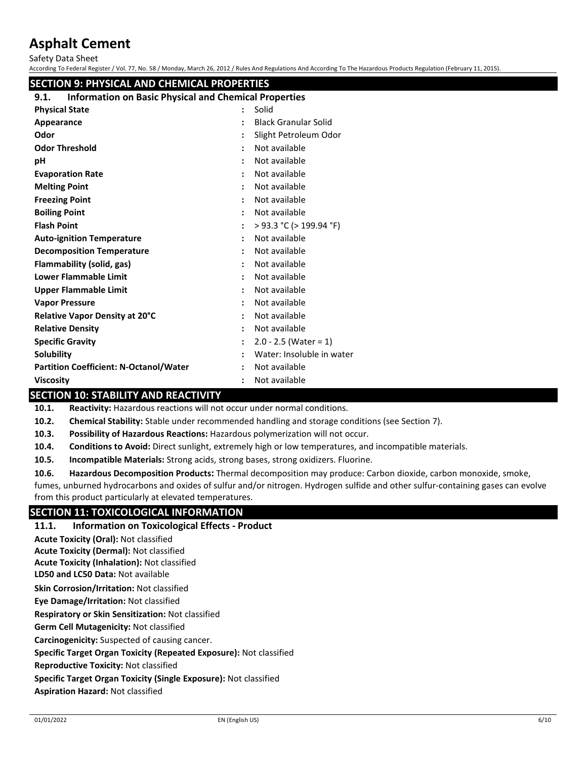Safety Data Sheet

According To Federal Register / Vol. 77, No. 58 / Monday, March 26, 2012 / Rules And Regulations And According To The Hazardous Products Regulation (February 11, 2015).

## **SECTION 9: PHYSICAL AND CHEMICAL PROPERTIES**

## **9.1. Information on Basic Physical and Chemical Properties**

| <b>Physical State</b>                         | ٠                    | Solid                       |
|-----------------------------------------------|----------------------|-----------------------------|
| Appearance                                    |                      | <b>Black Granular Solid</b> |
| Odor                                          |                      | Slight Petroleum Odor       |
| <b>Odor Threshold</b>                         |                      | Not available               |
| рH                                            |                      | Not available               |
| <b>Evaporation Rate</b>                       |                      | Not available               |
| <b>Melting Point</b>                          |                      | Not available               |
| <b>Freezing Point</b>                         |                      | Not available               |
| <b>Boiling Point</b>                          |                      | Not available               |
| <b>Flash Point</b>                            |                      | > 93.3 °C (> 199.94 °F)     |
| <b>Auto-ignition Temperature</b>              | $\ddot{\phantom{a}}$ | Not available               |
| <b>Decomposition Temperature</b>              |                      | Not available               |
| Flammability (solid, gas)                     |                      | Not available               |
| <b>Lower Flammable Limit</b>                  |                      | Not available               |
| Upper Flammable Limit                         |                      | Not available               |
| <b>Vapor Pressure</b>                         | ÷                    | Not available               |
| Relative Vapor Density at 20°C                |                      | Not available               |
| <b>Relative Density</b>                       |                      | Not available               |
| <b>Specific Gravity</b>                       |                      | $2.0 - 2.5$ (Water = 1)     |
| Solubility                                    |                      | Water: Insoluble in water   |
| <b>Partition Coefficient: N-Octanol/Water</b> |                      | Not available               |
| <b>Viscosity</b>                              |                      | Not available               |

## **SECTION 10: STABILITY AND REACTIVITY**

**10.1. Reactivity:** Hazardous reactions will not occur under normal conditions.

**10.2. Chemical Stability:** Stable under recommended handling and storage conditions (see Section 7).

**10.3. Possibility of Hazardous Reactions:** Hazardous polymerization will not occur.

**10.4. Conditions to Avoid:** Direct sunlight, extremely high or low temperatures, and incompatible materials.

**10.5. Incompatible Materials:** Strong acids, strong bases, strong oxidizers. Fluorine.

**10.6. Hazardous Decomposition Products:** Thermal decomposition may produce: Carbon dioxide, carbon monoxide, smoke,

fumes, unburned hydrocarbons and oxides of sulfur and/or nitrogen. Hydrogen sulfide and other sulfur-containing gases can evolve from this product particularly at elevated temperatures.

## **SECTION 11: TOXICOLOGICAL INFORMATION**

#### **11.1. Information on Toxicological Effects - Product**

**LD50 and LC50 Data:** Not available **Skin Corrosion/Irritation:** Not classified **Eye Damage/Irritation:** Not classified **Respiratory or Skin Sensitization:** Not classified **Acute Toxicity (Oral):** Not classified **Acute Toxicity (Dermal):** Not classified **Acute Toxicity (Inhalation):** Not classified

**Germ Cell Mutagenicity:** Not classified

**Carcinogenicity:** Suspected of causing cancer.

**Specific Target Organ Toxicity (Repeated Exposure):** Not classified

**Reproductive Toxicity:** Not classified

**Specific Target Organ Toxicity (Single Exposure):** Not classified

**Aspiration Hazard:** Not classified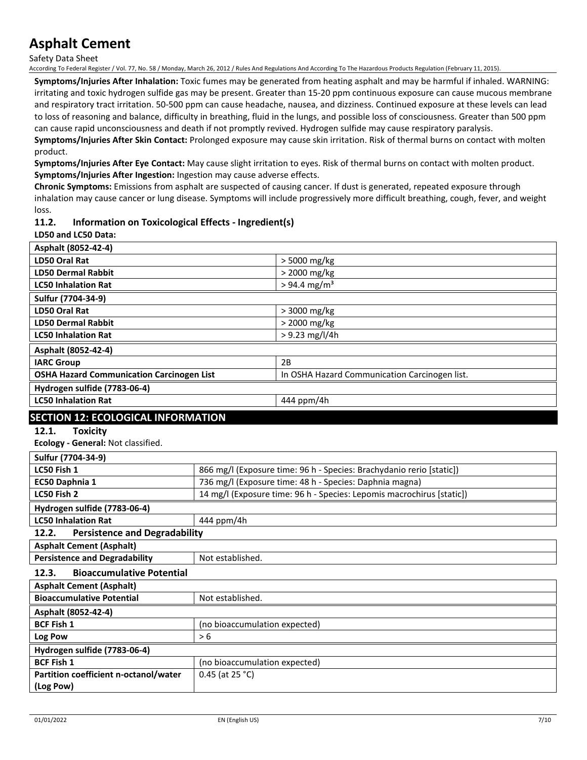Safety Data Sheet

According To Federal Register / Vol. 77, No. 58 / Monday, March 26, 2012 / Rules And Regulations And According To The Hazardous Products Regulation (February 11, 2015).

**Symptoms/Injuries After Inhalation:** Toxic fumes may be generated from heating asphalt and may be harmful if inhaled. WARNING: irritating and toxic hydrogen sulfide gas may be present. Greater than 15-20 ppm continuous exposure can cause mucous membrane and respiratory tract irritation. 50-500 ppm can cause headache, nausea, and dizziness. Continued exposure at these levels can lead to loss of reasoning and balance, difficulty in breathing, fluid in the lungs, and possible loss of consciousness. Greater than 500 ppm can cause rapid unconsciousness and death if not promptly revived. Hydrogen sulfide may cause respiratory paralysis.

**Symptoms/Injuries After Skin Contact:** Prolonged exposure may cause skin irritation. Risk of thermal burns on contact with molten product.

**Symptoms/Injuries After Eye Contact:** May cause slight irritation to eyes. Risk of thermal burns on contact with molten product. **Symptoms/Injuries After Ingestion:** Ingestion may cause adverse effects.

**Chronic Symptoms:** Emissions from asphalt are suspected of causing cancer. If dust is generated, repeated exposure through inhalation may cause cancer or lung disease. Symptoms will include progressively more difficult breathing, cough, fever, and weight loss.

## **11.2. Information on Toxicological Effects - Ingredient(s)**

**LD50 and LC50 Data:**

| Asphalt (8052-42-4)                                                          |                  |                                                                       |
|------------------------------------------------------------------------------|------------------|-----------------------------------------------------------------------|
| LD50 Oral Rat                                                                |                  | > 5000 mg/kg                                                          |
| <b>LD50 Dermal Rabbit</b>                                                    |                  | > 2000 mg/kg                                                          |
| <b>LC50 Inhalation Rat</b>                                                   |                  | $> 94.4$ mg/m <sup>3</sup>                                            |
| Sulfur (7704-34-9)                                                           |                  |                                                                       |
| LD50 Oral Rat                                                                |                  | > 3000 mg/kg                                                          |
| <b>LD50 Dermal Rabbit</b>                                                    |                  | > 2000 mg/kg                                                          |
| <b>LC50 Inhalation Rat</b>                                                   |                  | $> 9.23$ mg/l/4h                                                      |
| Asphalt (8052-42-4)                                                          |                  |                                                                       |
| <b>IARC Group</b>                                                            |                  | 2B                                                                    |
| <b>OSHA Hazard Communication Carcinogen List</b>                             |                  | In OSHA Hazard Communication Carcinogen list.                         |
| Hydrogen sulfide (7783-06-4)                                                 |                  |                                                                       |
| <b>LC50 Inhalation Rat</b>                                                   |                  | 444 ppm/4h                                                            |
| <b>SECTION 12: ECOLOGICAL INFORMATION</b>                                    |                  |                                                                       |
| 12.1.<br><b>Toxicity</b>                                                     |                  |                                                                       |
| Ecology - General: Not classified.                                           |                  |                                                                       |
| Sulfur (7704-34-9)                                                           |                  |                                                                       |
| LC50 Fish 1                                                                  |                  | 866 mg/l (Exposure time: 96 h - Species: Brachydanio rerio [static])  |
| EC50 Daphnia 1                                                               |                  | 736 mg/l (Exposure time: 48 h - Species: Daphnia magna)               |
| LC50 Fish 2                                                                  |                  | 14 mg/l (Exposure time: 96 h - Species: Lepomis macrochirus [static]) |
| Hydrogen sulfide (7783-06-4)                                                 |                  |                                                                       |
| <b>LC50 Inhalation Rat</b>                                                   | 444 ppm/4h       |                                                                       |
| 12.2.<br><b>Persistence and Degradability</b>                                |                  |                                                                       |
| <b>Asphalt Cement (Asphalt)</b>                                              |                  |                                                                       |
| <b>Persistence and Degradability</b>                                         | Not established. |                                                                       |
| 12.3.<br><b>Bioaccumulative Potential</b>                                    |                  |                                                                       |
| $\mathbf{A}$ is the contract of $\mathbf{A}$ in the contract of $\mathbf{A}$ |                  |                                                                       |

| <b>Asphalt Cement (Asphalt)</b>       |                               |
|---------------------------------------|-------------------------------|
| <b>Bioaccumulative Potential</b>      | Not established.              |
| Asphalt (8052-42-4)                   |                               |
| <b>BCF Fish 1</b>                     | (no bioaccumulation expected) |
| Log Pow                               | > 6                           |
| Hydrogen sulfide (7783-06-4)          |                               |
| <b>BCF Fish 1</b>                     | (no bioaccumulation expected) |
| Partition coefficient n-octanol/water | 0.45 (at 25 °C)               |
| (Log Pow)                             |                               |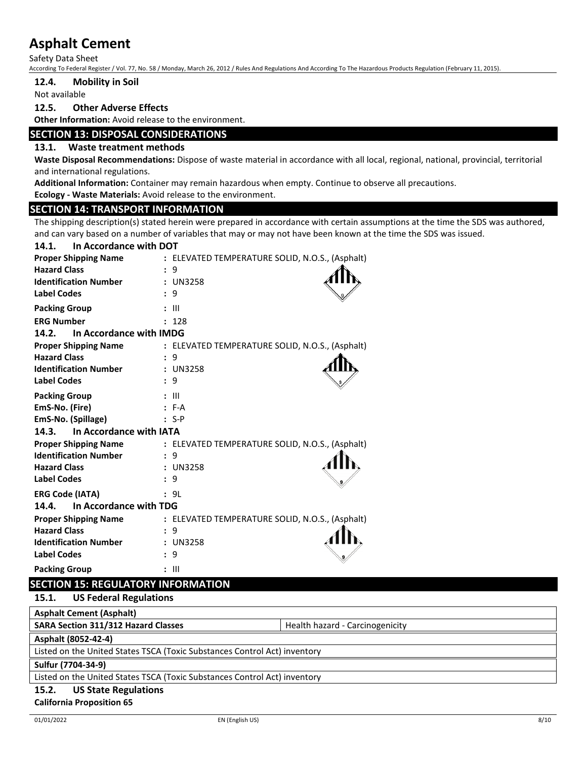Safety Data Sheet

According To Federal Register / Vol. 77, No. 58 / Monday, March 26, 2012 / Rules And Regulations And According To The Hazardous Products Regulation (February 11, 2015).

#### **12.4. Mobility in Soil**

Not available

#### **12.5. Other Adverse Effects**

**Other Information:** Avoid release to the environment.

### **SECTION 13: DISPOSAL CONSIDERATIONS**

## **13.1. Waste treatment methods**

**Waste Disposal Recommendations:** Dispose of waste material in accordance with all local, regional, national, provincial, territorial and international regulations.

**Additional Information:** Container may remain hazardous when empty. Continue to observe all precautions.

**Ecology - Waste Materials:** Avoid release to the environment.

#### **SECTION 14: TRANSPORT INFORMATION**

The shipping description(s) stated herein were prepared in accordance with certain assumptions at the time the SDS was authored, and can vary based on a number of variables that may or may not have been known at the time the SDS was issued.

| In Accordance with DOT<br>14.1.  |                                                 |
|----------------------------------|-------------------------------------------------|
| <b>Proper Shipping Name</b>      | : ELEVATED TEMPERATURE SOLID, N.O.S., (Asphalt) |
| <b>Hazard Class</b>              | : 9                                             |
| <b>Identification Number</b>     | : UN3258                                        |
| <b>Label Codes</b>               | 9                                               |
| <b>Packing Group</b>             | $: \mathbb{H}$                                  |
| <b>ERG Number</b>                | : 128                                           |
| In Accordance with IMDG<br>14.2. |                                                 |
| <b>Proper Shipping Name</b>      | : ELEVATED TEMPERATURE SOLID, N.O.S., (Asphalt) |
| <b>Hazard Class</b>              | 9                                               |
| <b>Identification Number</b>     | : UN3258                                        |
| <b>Label Codes</b>               | : 9                                             |
| <b>Packing Group</b>             | $: \mathbb{H}$                                  |
| EmS-No. (Fire)                   | $: F-A$                                         |
| EmS-No. (Spillage)               | $: S-P$                                         |
| In Accordance with IATA<br>14.3. |                                                 |
| <b>Proper Shipping Name</b>      | : ELEVATED TEMPERATURE SOLID, N.O.S., (Asphalt) |
| <b>Identification Number</b>     | : 9                                             |
| <b>Hazard Class</b>              | : UN3258                                        |
| <b>Label Codes</b>               | 9<br>$\mathbf{r}$                               |
| <b>ERG Code (IATA)</b>           | : 9L                                            |
| In Accordance with TDG<br>14.4.  |                                                 |
| <b>Proper Shipping Name</b>      | : ELEVATED TEMPERATURE SOLID, N.O.S., (Asphalt) |
| <b>Hazard Class</b>              | 9<br>$\mathbf{r}$                               |
| <b>Identification Number</b>     | : UN3258                                        |
| <b>Label Codes</b>               | : 9                                             |
| <b>Packing Group</b>             | $: \mathsf{III}$                                |

## **SECTION 15: REGULATORY INFORMATION**

**15.1. US Federal Regulations**

| <b>Asphalt Cement (Asphalt)</b>                                           |                                 |  |
|---------------------------------------------------------------------------|---------------------------------|--|
| <b>SARA Section 311/312 Hazard Classes</b>                                | Health hazard - Carcinogenicity |  |
| Asphalt (8052-42-4)                                                       |                                 |  |
| Listed on the United States TSCA (Toxic Substances Control Act) inventory |                                 |  |
| Sulfur (7704-34-9)                                                        |                                 |  |
| Listed on the United States TSCA (Toxic Substances Control Act) inventory |                                 |  |
|                                                                           |                                 |  |

## **15.2. US State Regulations**

#### **California Proposition 65**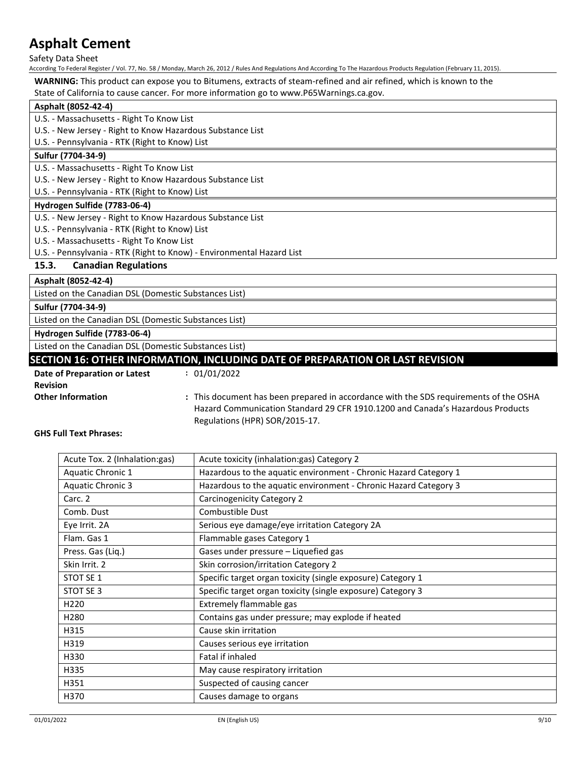Safety Data Sheet

According To Federal Register / Vol. 77, No. 58 / Monday, March 26, 2012 / Rules And Regulations And According To The Hazardous Products Regulation (February 11, 2015).

**WARNING:** This product can expose you to Bitumens, extracts of steam-refined and air refined, which is known to the

State of California to cause cancer. For more information go to www.P65Warnings.ca.gov.

| $\frac{1}{2}$ . Callioning to cause cancely for more implimation go to www.r obvionings.ca.gov. |
|-------------------------------------------------------------------------------------------------|
| Asphalt (8052-42-4)                                                                             |
| U.S. - Massachusetts - Right To Know List                                                       |
| U.S. - New Jersey - Right to Know Hazardous Substance List                                      |
| U.S. - Pennsylvania - RTK (Right to Know) List                                                  |
| Sulfur (7704-34-9)                                                                              |
| U.S. - Massachusetts - Right To Know List                                                       |
| U.S. - New Jersey - Right to Know Hazardous Substance List                                      |
| U.S. - Pennsylvania - RTK (Right to Know) List                                                  |
| Hydrogen Sulfide (7783-06-4)                                                                    |
| U.S. - New Jersey - Right to Know Hazardous Substance List                                      |
| U.S. - Pennsylvania - RTK (Right to Know) List                                                  |
| U.S. - Massachusetts - Right To Know List                                                       |
| U.S. - Pennsylvania - RTK (Right to Know) - Environmental Hazard List                           |
| <b>Canadian Regulations</b><br>15.3.                                                            |
| Asphalt (8052-42-4)                                                                             |
| Listed on the Canadian DSL (Domestic Substances List)                                           |
| Sulfur (7704-34-9)                                                                              |

Listed on the Canadian DSL (Domestic Substances List)

**Hydrogen Sulfide (7783-06-4)**

Listed on the Canadian DSL (Domestic Substances List)

## **SECTION 16: OTHER INFORMATION, INCLUDING DATE OF PREPARATION OR LAST REVISION**

**Date of Preparation or Latest :** 01/01/2022

**Revision**

**Other Information :** This document has been prepared in accordance with the SDS requirements of the OSHA Hazard Communication Standard 29 CFR 1910.1200 and Canada's Hazardous Products Regulations (HPR) SOR/2015-17.

**GHS Full Text Phrases:**

| Acute Tox. 2 (Inhalation: gas) | Acute toxicity (inhalation:gas) Category 2                       |
|--------------------------------|------------------------------------------------------------------|
| <b>Aquatic Chronic 1</b>       | Hazardous to the aquatic environment - Chronic Hazard Category 1 |
| <b>Aquatic Chronic 3</b>       | Hazardous to the aquatic environment - Chronic Hazard Category 3 |
| Carc. 2                        | Carcinogenicity Category 2                                       |
| Comb. Dust                     | Combustible Dust                                                 |
| Eye Irrit. 2A                  | Serious eye damage/eye irritation Category 2A                    |
| Flam. Gas 1                    | Flammable gases Category 1                                       |
| Press. Gas (Liq.)              | Gases under pressure - Liquefied gas                             |
| Skin Irrit. 2                  | Skin corrosion/irritation Category 2                             |
| STOT SE 1                      | Specific target organ toxicity (single exposure) Category 1      |
| STOT SE 3                      | Specific target organ toxicity (single exposure) Category 3      |
| H <sub>220</sub>               | Extremely flammable gas                                          |
| H <sub>280</sub>               | Contains gas under pressure; may explode if heated               |
| H315                           | Cause skin irritation                                            |
| H319                           | Causes serious eye irritation                                    |
| H330                           | Fatal if inhaled                                                 |
| H335                           | May cause respiratory irritation                                 |
| H351                           | Suspected of causing cancer                                      |
| H370                           | Causes damage to organs                                          |